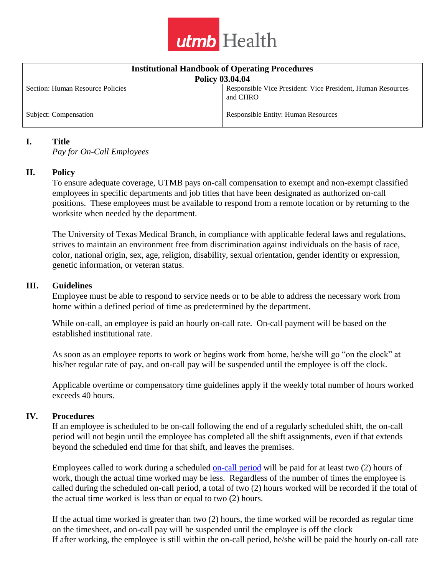

| <b>Institutional Handbook of Operating Procedures</b> |                                                                         |
|-------------------------------------------------------|-------------------------------------------------------------------------|
| <b>Policy 03.04.04</b>                                |                                                                         |
| Section: Human Resource Policies                      | Responsible Vice President: Vice President, Human Resources<br>and CHRO |
| Subject: Compensation                                 | <b>Responsible Entity: Human Resources</b>                              |

### **I. Title**

*Pay for On-Call Employees*

### **II. Policy**

To ensure adequate coverage, UTMB pays on-call compensation to exempt and non-exempt classified employees in specific departments and job titles that have been designated as authorized on-call positions. These employees must be available to respond from a remote location or by returning to the worksite when needed by the department.

The University of Texas Medical Branch, in compliance with applicable federal laws and regulations, strives to maintain an environment free from discrimination against individuals on the basis of race, color, national origin, sex, age, religion, disability, sexual orientation, gender identity or expression, genetic information, or veteran status.

#### **III. Guidelines**

Employee must be able to respond to service needs or to be able to address the necessary work from home within a defined period of time as predetermined by the department.

While on-call, an employee is paid an hourly on-call rate. On-call payment will be based on the established institutional rate.

As soon as an employee reports to work or begins work from home, he/she will go "on the clock" at his/her regular rate of pay, and on-call pay will be suspended until the employee is off the clock.

Applicable overtime or compensatory time guidelines apply if the weekly total number of hours worked exceeds 40 hours.

#### **IV. Procedures**

If an employee is scheduled to be on-call following the end of a regularly scheduled shift, the on-call period will not begin until the employee has completed all the shift assignments, even if that extends beyond the scheduled end time for that shift, and leaves the premises.

Employees called to work during a scheduled [on-call period](http://intranet.utmb.edu/policies_and_procedures/Home/Definition/374) will be paid for at least two (2) hours of work, though the actual time worked may be less. Regardless of the number of times the employee is called during the scheduled on-call period, a total of two (2) hours worked will be recorded if the total of the actual time worked is less than or equal to two (2) hours.

If the actual time worked is greater than two (2) hours, the time worked will be recorded as regular time on the timesheet, and on-call pay will be suspended until the employee is off the clock If after working, the employee is still within the on-call period, he/she will be paid the hourly on-call rate